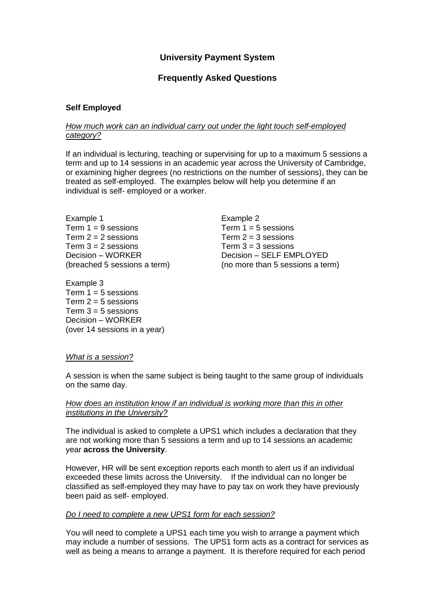# **University Payment System**

# **Frequently Asked Questions**

### **Self Employed**

### *How much work can an individual carry out under the light touch self-employed category?*

If an individual is lecturing, teaching or supervising for up to a maximum 5 sessions a term and up to 14 sessions in an academic year across the University of Cambridge, or examining higher degrees (no restrictions on the number of sessions), they can be treated as self-employed. The examples below will help you determine if an individual is self- employed or a worker.

Example 1 Term  $1 = 9$  sessions Term  $2 = 2$  sessions Term  $3 = 2$  sessions Decision – WORKER (breached 5 sessions a term)

Example 3 Term  $1 = 5$  sessions Term  $2 = 5$  sessions Term  $3 = 5$  sessions Decision – WORKER (over 14 sessions in a year) Example 2 Term  $1 = 5$  sessions Term  $2 = 3$  sessions Term  $3 = 3$  sessions Decision – SELF EMPLOYED (no more than 5 sessions a term)

#### *What is a session?*

A session is when the same subject is being taught to the same group of individuals on the same day.

### *How does an institution know if an individual is working more than this in other institutions in the University?*

The individual is asked to complete a UPS1 which includes a declaration that they are not working more than 5 sessions a term and up to 14 sessions an academic year **across the University**.

However, HR will be sent exception reports each month to alert us if an individual exceeded these limits across the University. If the individual can no longer be classified as self-employed they may have to pay tax on work they have previously been paid as self- employed.

#### *Do I need to complete a new UPS1 form for each session?*

You will need to complete a UPS1 each time you wish to arrange a payment which may include a number of sessions. The UPS1 form acts as a contract for services as well as being a means to arrange a payment. It is therefore required for each period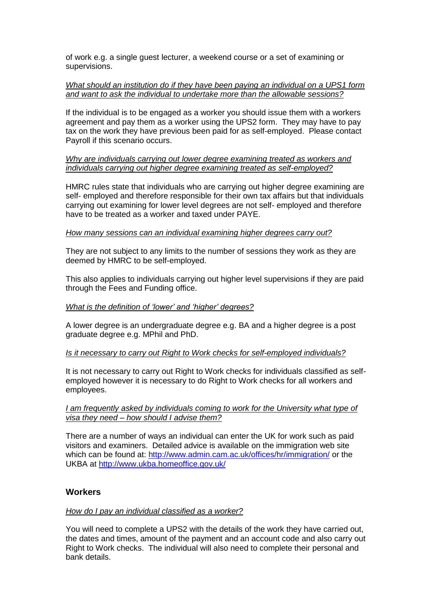of work e.g. a single guest lecturer, a weekend course or a set of examining or supervisions.

### *What should an institution do if they have been paying an individual on a UPS1 form and want to ask the individual to undertake more than the allowable sessions?*

If the individual is to be engaged as a worker you should issue them with a workers agreement and pay them as a worker using the UPS2 form. They may have to pay tax on the work they have previous been paid for as self-employed. Please contact Payroll if this scenario occurs.

### *Why are individuals carrying out lower degree examining treated as workers and individuals carrying out higher degree examining treated as self-employed?*

HMRC rules state that individuals who are carrying out higher degree examining are self- employed and therefore responsible for their own tax affairs but that individuals carrying out examining for lower level degrees are not self- employed and therefore have to be treated as a worker and taxed under PAYE.

### *How many sessions can an individual examining higher degrees carry out?*

They are not subject to any limits to the number of sessions they work as they are deemed by HMRC to be self-employed.

This also applies to individuals carrying out higher level supervisions if they are paid through the Fees and Funding office.

# *What is the definition of 'lower' and 'higher' degrees?*

A lower degree is an undergraduate degree e.g. BA and a higher degree is a post graduate degree e.g. MPhil and PhD.

#### *Is it necessary to carry out Right to Work checks for self-employed individuals?*

It is not necessary to carry out Right to Work checks for individuals classified as selfemployed however it is necessary to do Right to Work checks for all workers and employees.

### *I am frequently asked by individuals coming to work for the University what type of visa they need – how should I advise them?*

There are a number of ways an individual can enter the UK for work such as paid visitors and examiners. Detailed advice is available on the immigration web site which can be found at:<http://www.admin.cam.ac.uk/offices/hr/immigration/> or the UKBA at<http://www.ukba.homeoffice.gov.uk/>

# **Workers**

# *How do I pay an individual classified as a worker?*

You will need to complete a UPS2 with the details of the work they have carried out, the dates and times, amount of the payment and an account code and also carry out Right to Work checks. The individual will also need to complete their personal and bank details.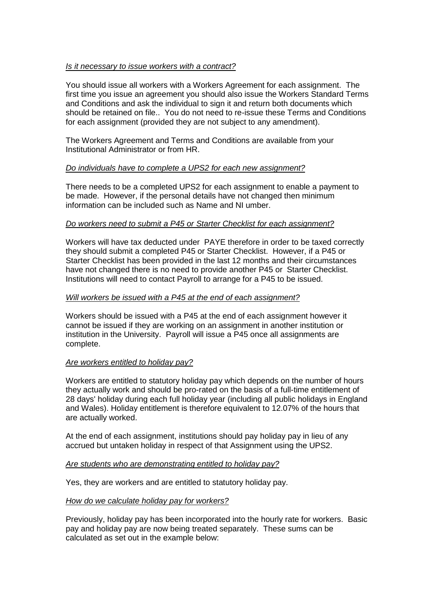# *Is it necessary to issue workers with a contract?*

You should issue all workers with a Workers Agreement for each assignment. The first time you issue an agreement you should also issue the Workers Standard Terms and Conditions and ask the individual to sign it and return both documents which should be retained on file.. You do not need to re-issue these Terms and Conditions for each assignment (provided they are not subject to any amendment).

The Workers Agreement and Terms and Conditions are available from your Institutional Administrator or from HR.

# *Do individuals have to complete a UPS2 for each new assignment?*

There needs to be a completed UPS2 for each assignment to enable a payment to be made. However, if the personal details have not changed then minimum information can be included such as Name and NI umber.

# *Do workers need to submit a P45 or Starter Checklist for each assignment?*

Workers will have tax deducted under PAYE therefore in order to be taxed correctly they should submit a completed P45 or Starter Checklist. However, if a P45 or Starter Checklist has been provided in the last 12 months and their circumstances have not changed there is no need to provide another P45 or Starter Checklist. Institutions will need to contact Payroll to arrange for a P45 to be issued.

# *Will workers be issued with a P45 at the end of each assignment?*

Workers should be issued with a P45 at the end of each assignment however it cannot be issued if they are working on an assignment in another institution or institution in the University. Payroll will issue a P45 once all assignments are complete.

#### *Are workers entitled to holiday pay?*

Workers are entitled to statutory holiday pay which depends on the number of hours they actually work and should be pro-rated on the basis of a full-time entitlement of 28 days' holiday during each full holiday year (including all public holidays in England and Wales). Holiday entitlement is therefore equivalent to 12.07% of the hours that are actually worked.

At the end of each assignment, institutions should pay holiday pay in lieu of any accrued but untaken holiday in respect of that Assignment using the UPS2.

#### *Are students who are demonstrating entitled to holiday pay?*

Yes, they are workers and are entitled to statutory holiday pay.

# *How do we calculate holiday pay for workers?*

Previously, holiday pay has been incorporated into the hourly rate for workers. Basic pay and holiday pay are now being treated separately. These sums can be calculated as set out in the example below: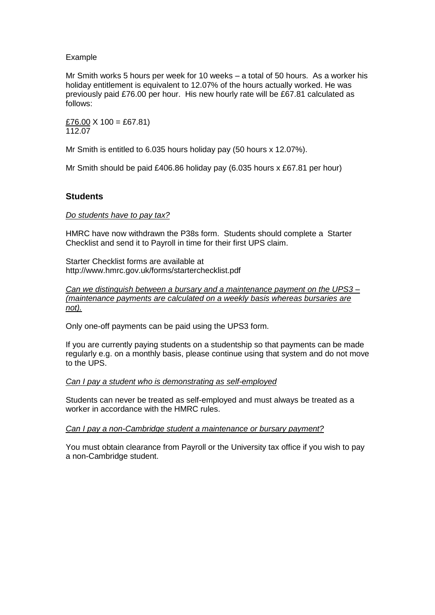### Example

Mr Smith works 5 hours per week for 10 weeks – a total of 50 hours. As a worker his holiday entitlement is equivalent to 12.07% of the hours actually worked. He was previously paid £76.00 per hour. His new hourly rate will be £67.81 calculated as follows:

 $£76.00 \times 100 = £67.81$ 112.07

Mr Smith is entitled to 6.035 hours holiday pay (50 hours x 12.07%).

Mr Smith should be paid £406.86 holiday pay (6.035 hours x £67.81 per hour)

### **Students**

#### *Do students have to pay tax?*

HMRC have now withdrawn the P38s form. Students should complete a Starter Checklist and send it to Payroll in time for their first UPS claim.

Starter Checklist forms are available at http://www.hmrc.gov.uk/forms/starterchecklist.pdf

*Can we distinguish between a bursary and a maintenance payment on the UPS3 – (maintenance payments are calculated on a weekly basis whereas bursaries are not).*

Only one-off payments can be paid using the UPS3 form.

If you are currently paying students on a studentship so that payments can be made regularly e.g. on a monthly basis, please continue using that system and do not move to the UPS.

#### *Can I pay a student who is demonstrating as self-employed*

Students can never be treated as self-employed and must always be treated as a worker in accordance with the HMRC rules.

#### *Can I pay a non-Cambridge student a maintenance or bursary payment?*

You must obtain clearance from Payroll or the University tax office if you wish to pay a non-Cambridge student.